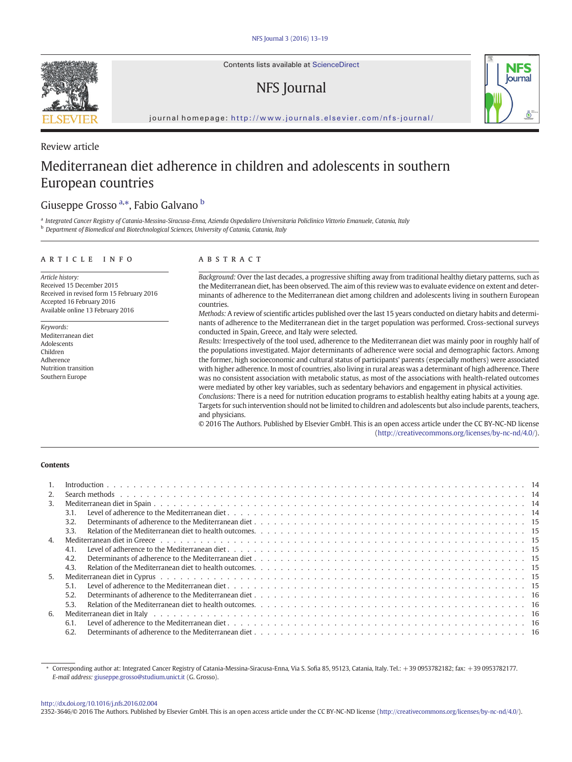<span id="page-0-0"></span>

Review article

Contents lists available at ScienceDirect

## NFS Journal



journal homepage: <http://www.journals.elsevier.com/nfs-journal/>

# Mediterranean diet adherence in children and adolescents in southern European countries

### Giuseppe Grosso <sup>a,\*</sup>, Fabio Galvano <sup>b</sup>

a Integrated Cancer Registry of Catania-Messina-Siracusa-Enna, Azienda Ospedaliero Universitaria Policlinico Vittorio Emanuele, Catania, Italy **b** Department of Biomedical and Biotechnological Sciences, University of Catania, Catania, Italy

#### article info abstract

Article history: Received 15 December 2015 Received in revised form 15 February 2016 Accepted 16 February 2016 Available online 13 February 2016

Keywords: Mediterranean diet Adolescents Children Adherence Nutrition transition Southern Europe

Background: Over the last decades, a progressive shifting away from traditional healthy dietary patterns, such as the Mediterranean diet, has been observed. The aim of this review was to evaluate evidence on extent and determinants of adherence to the Mediterranean diet among children and adolescents living in southern European countries.

Methods: A review of scientific articles published over the last 15 years conducted on dietary habits and determinants of adherence to the Mediterranean diet in the target population was performed. Cross-sectional surveys conducted in Spain, Greece, and Italy were selected.

Results: Irrespectively of the tool used, adherence to the Mediterranean diet was mainly poor in roughly half of the populations investigated. Major determinants of adherence were social and demographic factors. Among the former, high socioeconomic and cultural status of participants' parents (especially mothers) were associated with higher adherence. In most of countries, also living in rural areas was a determinant of high adherence. There was no consistent association with metabolic status, as most of the associations with health-related outcomes were mediated by other key variables, such as sedentary behaviors and engagement in physical activities.

Conclusions: There is a need for nutrition education programs to establish healthy eating habits at a young age. Targets for such intervention should not be limited to children and adolescents but also include parents, teachers, and physicians.

© 2016 The Authors. Published by Elsevier GmbH. This is an open access article under the CC BY-NC-ND license (http://creativecommons.org/licenses/by-nc-nd/4.0/).

### **Contents**

| 2. |                                                                                                                                                                                                                                |  |
|----|--------------------------------------------------------------------------------------------------------------------------------------------------------------------------------------------------------------------------------|--|
| 3. |                                                                                                                                                                                                                                |  |
|    | 3.1.                                                                                                                                                                                                                           |  |
|    | 3.2.                                                                                                                                                                                                                           |  |
|    | 3.3.                                                                                                                                                                                                                           |  |
| 4. |                                                                                                                                                                                                                                |  |
|    | 4.1.                                                                                                                                                                                                                           |  |
|    | 4.2.                                                                                                                                                                                                                           |  |
|    | 4.3.                                                                                                                                                                                                                           |  |
| 5. |                                                                                                                                                                                                                                |  |
|    | 5.1.                                                                                                                                                                                                                           |  |
|    | 5.2.                                                                                                                                                                                                                           |  |
|    | 5.3.                                                                                                                                                                                                                           |  |
| 6. | Mediterranean diet in Italy response to the control of the control of the control of the control of the control of the control of the control of the control of the control of the control of the control of the control of th |  |
|    | 6.1.                                                                                                                                                                                                                           |  |
|    | 6.2.                                                                                                                                                                                                                           |  |
|    |                                                                                                                                                                                                                                |  |

#### <http://dx.doi.org/10.1016/j.nfs.2016.02.004>

2352-3646/© 2016 The Authors. Published by Elsevier GmbH. This is an open access article under the CC BY-NC-ND license (http://creativecommons.org/licenses/by-nc-nd/4.0/).

<sup>⁎</sup> Corresponding author at: Integrated Cancer Registry of Catania-Messina-Siracusa-Enna, Via S. Sofia 85, 95123, Catania, Italy. Tel.: +39 0953782182; fax: +39 0953782177. E-mail address: [giuseppe.grosso@studium.unict.it](mailto:giuseppe.grosso@studium.unict.it) (G. Grosso).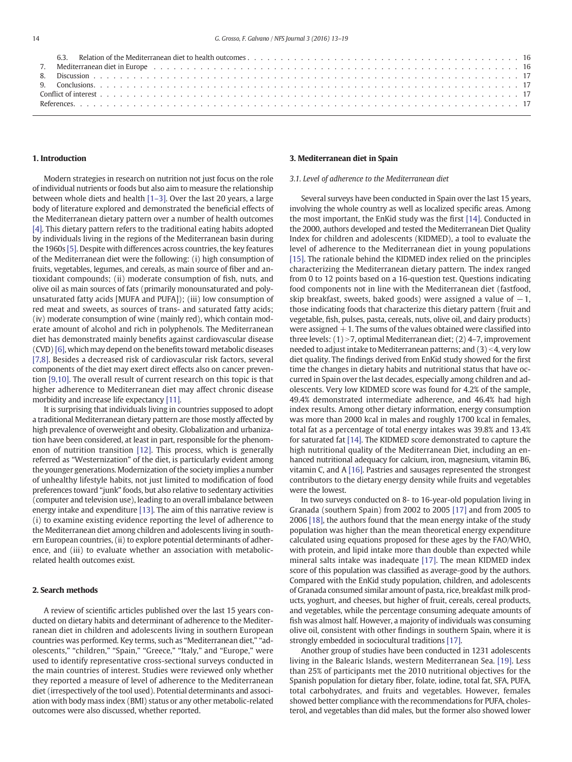| ,我们也不会有什么。""我们的人,我们也不会有什么?""我们的人,我们也不会有什么?""我们的人,我们也不会有什么?""我们的人,我们也不会有什么?""我们的人 |  |
|----------------------------------------------------------------------------------|--|

#### 1. Introduction

Modern strategies in research on nutrition not just focus on the role of individual nutrients or foods but also aim to measure the relationship between whole diets and health [1–[3\].](#page-4-0) Over the last 20 years, a large body of literature explored and demonstrated the beneficial effects of the Mediterranean dietary pattern over a number of health outcomes [\[4\].](#page-4-0) This dietary pattern refers to the traditional eating habits adopted by individuals living in the regions of the Mediterranean basin during the 1960s [\[5\].](#page-5-0) Despite with differences across countries, the key features of the Mediterranean diet were the following: (i) high consumption of fruits, vegetables, legumes, and cereals, as main source of fiber and antioxidant compounds; (ii) moderate consumption of fish, nuts, and olive oil as main sources of fats (primarily monounsaturated and polyunsaturated fatty acids [MUFA and PUFA]); (iii) low consumption of red meat and sweets, as sources of trans- and saturated fatty acids; (iv) moderate consumption of wine (mainly red), which contain moderate amount of alcohol and rich in polyphenols. The Mediterranean diet has demonstrated mainly benefits against cardiovascular disease (CVD) [\[6\]](#page-5-0), which may depend on the benefits toward metabolic diseases [\[7,8\].](#page-5-0) Besides a decreased risk of cardiovascular risk factors, several components of the diet may exert direct effects also on cancer prevention [\[9,10\].](#page-5-0) The overall result of current research on this topic is that higher adherence to Mediterranean diet may affect chronic disease morbidity and increase life expectancy [\[11\]](#page-5-0).

It is surprising that individuals living in countries supposed to adopt a traditional Mediterranean dietary pattern are those mostly affected by high prevalence of overweight and obesity. Globalization and urbanization have been considered, at least in part, responsible for the phenomenon of nutrition transition [\[12\]](#page-5-0). This process, which is generally referred as "Westernization" of the diet, is particularly evident among the younger generations. Modernization of the society implies a number of unhealthy lifestyle habits, not just limited to modification of food preferences toward "junk" foods, but also relative to sedentary activities (computer and television use), leading to an overall imbalance between energy intake and expenditure [\[13\]](#page-5-0). The aim of this narrative review is (i) to examine existing evidence reporting the level of adherence to the Mediterranean diet among children and adolescents living in southern European countries, (ii) to explore potential determinants of adherence, and (iii) to evaluate whether an association with metabolicrelated health outcomes exist.

#### 2. Search methods

A review of scientific articles published over the last 15 years conducted on dietary habits and determinant of adherence to the Mediterranean diet in children and adolescents living in southern European countries was performed. Key terms, such as "Mediterranean diet," "adolescents," "children," "Spain," "Greece," "Italy," and "Europe," were used to identify representative cross-sectional surveys conducted in the main countries of interest. Studies were reviewed only whether they reported a measure of level of adherence to the Mediterranean diet (irrespectively of the tool used). Potential determinants and association with body mass index (BMI) status or any other metabolic-related outcomes were also discussed, whether reported.

#### 3. Mediterranean diet in Spain

#### 3.1. Level of adherence to the Mediterranean diet

Several surveys have been conducted in Spain over the last 15 years, involving the whole country as well as localized specific areas. Among the most important, the EnKid study was the first [\[14\]](#page-5-0). Conducted in the 2000, authors developed and tested the Mediterranean Diet Quality Index for children and adolescents (KIDMED), a tool to evaluate the level of adherence to the Mediterranean diet in young populations [\[15\]](#page-5-0). The rationale behind the KIDMED index relied on the principles characterizing the Mediterranean dietary pattern. The index ranged from 0 to 12 points based on a 16-question test. Questions indicating food components not in line with the Mediterranean diet (fastfood, skip breakfast, sweets, baked goods) were assigned a value of  $-1$ , those indicating foods that characterize this dietary pattern (fruit and vegetable, fish, pulses, pasta, cereals, nuts, olive oil, and dairy products) were assigned  $+1$ . The sums of the values obtained were classified into three levels:  $(1)$  > 7, optimal Mediterranean diet;  $(2)$  4–7, improvement needed to adjust intake to Mediterranean patterns; and  $(3)$  < 4, very low diet quality. The findings derived from EnKid study showed for the first time the changes in dietary habits and nutritional status that have occurred in Spain over the last decades, especially among children and adolescents. Very low KIDMED score was found for 4.2% of the sample, 49.4% demonstrated intermediate adherence, and 46.4% had high index results. Among other dietary information, energy consumption was more than 2000 kcal in males and roughly 1700 kcal in females, total fat as a percentage of total energy intakes was 39.8% and 13.4% for saturated fat [\[14\]](#page-5-0). The KIDMED score demonstrated to capture the high nutritional quality of the Mediterranean Diet, including an enhanced nutritional adequacy for calcium, iron, magnesium, vitamin B6, vitamin C, and A [\[16\].](#page-5-0) Pastries and sausages represented the strongest contributors to the dietary energy density while fruits and vegetables were the lowest.

In two surveys conducted on 8- to 16-year-old population living in Granada (southern Spain) from 2002 to 2005 [\[17\]](#page-5-0) and from 2005 to 2006 [\[18\]](#page-5-0), the authors found that the mean energy intake of the study population was higher than the mean theoretical energy expenditure calculated using equations proposed for these ages by the FAO/WHO, with protein, and lipid intake more than double than expected while mineral salts intake was inadequate [\[17\]](#page-5-0). The mean KIDMED index score of this population was classified as average-good by the authors. Compared with the EnKid study population, children, and adolescents of Granada consumed similar amount of pasta, rice, breakfast milk products, yoghurt, and cheeses, but higher of fruit, cereals, cereal products, and vegetables, while the percentage consuming adequate amounts of fish was almost half. However, a majority of individuals was consuming olive oil, consistent with other findings in southern Spain, where it is strongly embedded in sociocultural traditions [\[17\].](#page-5-0)

Another group of studies have been conducted in 1231 adolescents living in the Balearic Islands, western Mediterranean Sea. [\[19\]](#page-5-0). Less than 25% of participants met the 2010 nutritional objectives for the Spanish population for dietary fiber, folate, iodine, total fat, SFA, PUFA, total carbohydrates, and fruits and vegetables. However, females showed better compliance with the recommendations for PUFA, cholesterol, and vegetables than did males, but the former also showed lower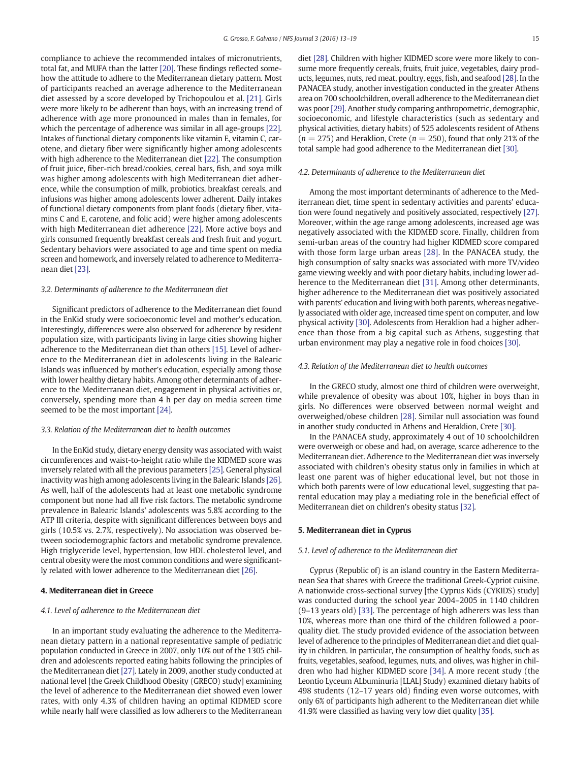compliance to achieve the recommended intakes of micronutrients, total fat, and MUFA than the latter [\[20\].](#page-5-0) These findings reflected somehow the attitude to adhere to the Mediterranean dietary pattern. Most of participants reached an average adherence to the Mediterranean diet assessed by a score developed by Trichopoulou et al. [\[21\]](#page-5-0). Girls were more likely to be adherent than boys, with an increasing trend of adherence with age more pronounced in males than in females, for which the percentage of adherence was similar in all age-groups [\[22\].](#page-5-0) Intakes of functional dietary components like vitamin E, vitamin C, carotene, and dietary fiber were significantly higher among adolescents with high adherence to the Mediterranean diet [\[22\]](#page-5-0). The consumption of fruit juice, fiber-rich bread/cookies, cereal bars, fish, and soya milk was higher among adolescents with high Mediterranean diet adherence, while the consumption of milk, probiotics, breakfast cereals, and infusions was higher among adolescents lower adherent. Daily intakes of functional dietary components from plant foods (dietary fiber, vitamins C and E, carotene, and folic acid) were higher among adolescents with high Mediterranean diet adherence [\[22\]](#page-5-0). More active boys and girls consumed frequently breakfast cereals and fresh fruit and yogurt. Sedentary behaviors were associated to age and time spent on media screen and homework, and inversely related to adherence to Mediterranean diet [\[23\]](#page-5-0).

#### 3.2. Determinants of adherence to the Mediterranean diet

Significant predictors of adherence to the Mediterranean diet found in the EnKid study were socioeconomic level and mother's education. Interestingly, differences were also observed for adherence by resident population size, with participants living in large cities showing higher adherence to the Mediterranean diet than others [\[15\].](#page-5-0) Level of adherence to the Mediterranean diet in adolescents living in the Balearic Islands was influenced by mother's education, especially among those with lower healthy dietary habits. Among other determinants of adherence to the Mediterranean diet, engagement in physical activities or, conversely, spending more than 4 h per day on media screen time seemed to be the most important [\[24\].](#page-5-0)

#### 3.3. Relation of the Mediterranean diet to health outcomes

In the EnKid study, dietary energy density was associated with waist circumferences and waist-to-height ratio while the KIDMED score was inversely related with all the previous parameters [\[25\]](#page-5-0). General physical inactivity was high among adolescents living in the Balearic Islands [\[26\].](#page-5-0) As well, half of the adolescents had at least one metabolic syndrome component but none had all five risk factors. The metabolic syndrome prevalence in Balearic Islands' adolescents was 5.8% according to the ATP III criteria, despite with significant differences between boys and girls (10.5% vs. 2.7%, respectively). No association was observed between sociodemographic factors and metabolic syndrome prevalence. High triglyceride level, hypertension, low HDL cholesterol level, and central obesity were the most common conditions and were significantly related with lower adherence to the Mediterranean diet [\[26\]](#page-5-0).

#### 4. Mediterranean diet in Greece

#### 4.1. Level of adherence to the Mediterranean diet

In an important study evaluating the adherence to the Mediterranean dietary pattern in a national representative sample of pediatric population conducted in Greece in 2007, only 10% out of the 1305 children and adolescents reported eating habits following the principles of the Mediterranean diet [\[27\]](#page-5-0). Lately in 2009, another study conducted at national level [the Greek Childhood Obesity (GRECO) study] examining the level of adherence to the Mediterranean diet showed even lower rates, with only 4.3% of children having an optimal KIDMED score while nearly half were classified as low adherers to the Mediterranean

diet [\[28\].](#page-5-0) Children with higher KIDMED score were more likely to consume more frequently cereals, fruits, fruit juice, vegetables, dairy products, legumes, nuts, red meat, poultry, eggs, fish, and seafood [\[28\].](#page-5-0) In the PANACEA study, another investigation conducted in the greater Athens area on 700 schoolchildren, overall adherence to the Mediterranean diet was poor [\[29\].](#page-5-0) Another study comparing anthropometric, demographic, socioeconomic, and lifestyle characteristics (such as sedentary and physical activities, dietary habits) of 525 adolescents resident of Athens  $(n = 275)$  and Heraklion, Crete  $(n = 250)$ , found that only 21% of the total sample had good adherence to the Mediterranean diet [\[30\]](#page-5-0).

#### 4.2. Determinants of adherence to the Mediterranean diet

Among the most important determinants of adherence to the Mediterranean diet, time spent in sedentary activities and parents' education were found negatively and positively associated, respectively [\[27\].](#page-5-0) Moreover, within the age range among adolescents, increased age was negatively associated with the KIDMED score. Finally, children from semi-urban areas of the country had higher KIDMED score compared with those form large urban areas [\[28\]](#page-5-0). In the PANACEA study, the high consumption of salty snacks was associated with more TV/video game viewing weekly and with poor dietary habits, including lower adherence to the Mediterranean diet [\[31\]](#page-5-0). Among other determinants, higher adherence to the Mediterranean diet was positively associated with parents' education and living with both parents, whereas negatively associated with older age, increased time spent on computer, and low physical activity [\[30\].](#page-5-0) Adolescents from Heraklion had a higher adherence than those from a big capital such as Athens, suggesting that urban environment may play a negative role in food choices [\[30\]](#page-5-0).

#### 4.3. Relation of the Mediterranean diet to health outcomes

In the GRECO study, almost one third of children were overweight, while prevalence of obesity was about 10%, higher in boys than in girls. No differences were observed between normal weight and overweighed/obese children [\[28\].](#page-5-0) Similar null association was found in another study conducted in Athens and Heraklion, Crete [\[30\]](#page-5-0).

In the PANACEA study, approximately 4 out of 10 schoolchildren were overweigh or obese and had, on average, scarce adherence to the Mediterranean diet. Adherence to the Mediterranean diet was inversely associated with children's obesity status only in families in which at least one parent was of higher educational level, but not those in which both parents were of low educational level, suggesting that parental education may play a mediating role in the beneficial effect of Mediterranean diet on children's obesity status [\[32\].](#page-5-0)

#### 5. Mediterranean diet in Cyprus

#### 5.1. Level of adherence to the Mediterranean diet

Cyprus (Republic of) is an island country in the Eastern Mediterranean Sea that shares with Greece the traditional Greek-Cypriot cuisine. A nationwide cross-sectional survey [the Cyprus Kids (CYKIDS) study] was conducted during the school year 2004–2005 in 1140 children (9–13 years old) [\[33\]](#page-5-0). The percentage of high adherers was less than 10%, whereas more than one third of the children followed a poorquality diet. The study provided evidence of the association between level of adherence to the principles of Mediterranean diet and diet quality in children. In particular, the consumption of healthy foods, such as fruits, vegetables, seafood, legumes, nuts, and olives, was higher in children who had higher KIDMED score [\[34\].](#page-5-0) A more recent study (the Leontio Lyceum ALbuminuria [LLAL] Study) examined dietary habits of 498 students (12–17 years old) finding even worse outcomes, with only 6% of participants high adherent to the Mediterranean diet while 41.9% were classified as having very low diet quality [\[35\].](#page-5-0)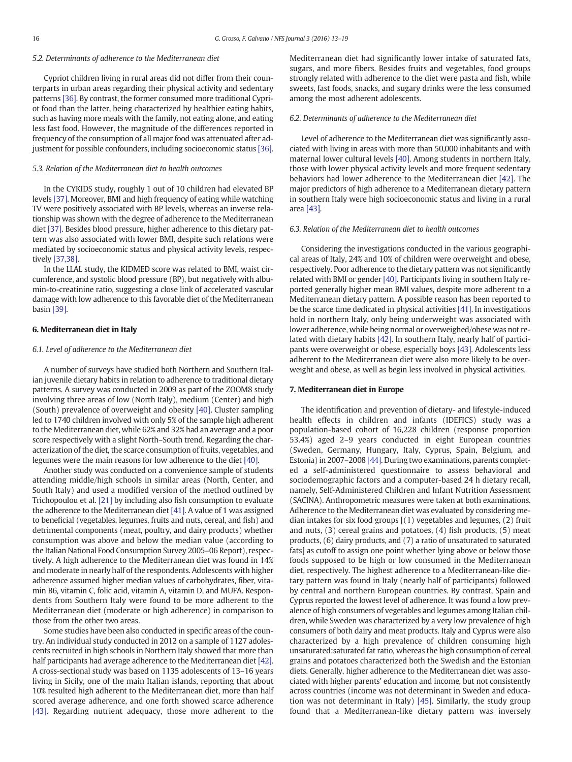#### 5.2. Determinants of adherence to the Mediterranean diet

Cypriot children living in rural areas did not differ from their counterparts in urban areas regarding their physical activity and sedentary patterns [\[36\]](#page-5-0). By contrast, the former consumed more traditional Cypriot food than the latter, being characterized by healthier eating habits, such as having more meals with the family, not eating alone, and eating less fast food. However, the magnitude of the differences reported in frequency of the consumption of all major food was attenuated after adjustment for possible confounders, including socioeconomic status [\[36\].](#page-5-0)

#### 5.3. Relation of the Mediterranean diet to health outcomes

In the CYKIDS study, roughly 1 out of 10 children had elevated BP levels [\[37\]](#page-5-0). Moreover, BMI and high frequency of eating while watching TV were positively associated with BP levels, whereas an inverse relationship was shown with the degree of adherence to the Mediterranean diet [\[37\]](#page-5-0). Besides blood pressure, higher adherence to this dietary pattern was also associated with lower BMI, despite such relations were mediated by socioeconomic status and physical activity levels, respectively [\[37,38\].](#page-5-0)

In the LLAL study, the KIDMED score was related to BMI, waist circumference, and systolic blood pressure (BP), but negatively with albumin-to-creatinine ratio, suggesting a close link of accelerated vascular damage with low adherence to this favorable diet of the Mediterranean basin [\[39\].](#page-5-0)

#### 6. Mediterranean diet in Italy

#### 6.1. Level of adherence to the Mediterranean diet

A number of surveys have studied both Northern and Southern Italian juvenile dietary habits in relation to adherence to traditional dietary patterns. A survey was conducted in 2009 as part of the ZOOM8 study involving three areas of low (North Italy), medium (Center) and high (South) prevalence of overweight and obesity [\[40\]](#page-5-0). Cluster sampling led to 1740 children involved with only 5% of the sample high adherent to the Mediterranean diet, while 62% and 32% had an average and a poor score respectively with a slight North–South trend. Regarding the characterization of the diet, the scarce consumption of fruits, vegetables, and legumes were the main reasons for low adherence to the diet [\[40\]](#page-5-0).

Another study was conducted on a convenience sample of students attending middle/high schools in similar areas (North, Center, and South Italy) and used a modified version of the method outlined by Trichopoulou et al. [\[21\]](#page-5-0) by including also fish consumption to evaluate the adherence to the Mediterranean diet [\[41\]](#page-5-0). A value of 1 was assigned to beneficial (vegetables, legumes, fruits and nuts, cereal, and fish) and detrimental components (meat, poultry, and dairy products) whether consumption was above and below the median value (according to the Italian National Food Consumption Survey 2005–06 Report), respectively. A high adherence to the Mediterranean diet was found in 14% and moderate in nearly half of the respondents. Adolescents with higher adherence assumed higher median values of carbohydrates, fiber, vitamin B6, vitamin C, folic acid, vitamin A, vitamin D, and MUFA. Respondents from Southern Italy were found to be more adherent to the Mediterranean diet (moderate or high adherence) in comparison to those from the other two areas.

Some studies have been also conducted in specific areas of the country. An individual study conducted in 2012 on a sample of 1127 adolescents recruited in high schools in Northern Italy showed that more than half participants had average adherence to the Mediterranean diet [\[42\]](#page-5-0). A cross-sectional study was based on 1135 adolescents of 13–16 years living in Sicily, one of the main Italian islands, reporting that about 10% resulted high adherent to the Mediterranean diet, more than half scored average adherence, and one forth showed scarce adherence [\[43\].](#page-5-0) Regarding nutrient adequacy, those more adherent to the

Mediterranean diet had significantly lower intake of saturated fats, sugars, and more fibers. Besides fruits and vegetables, food groups strongly related with adherence to the diet were pasta and fish, while sweets, fast foods, snacks, and sugary drinks were the less consumed among the most adherent adolescents.

#### 6.2. Determinants of adherence to the Mediterranean diet

Level of adherence to the Mediterranean diet was significantly associated with living in areas with more than 50,000 inhabitants and with maternal lower cultural levels [\[40\].](#page-5-0) Among students in northern Italy, those with lower physical activity levels and more frequent sedentary behaviors had lower adherence to the Mediterranean diet [\[42\].](#page-5-0) The major predictors of high adherence to a Mediterranean dietary pattern in southern Italy were high socioeconomic status and living in a rural area [\[43\]](#page-5-0).

#### 6.3. Relation of the Mediterranean diet to health outcomes

Considering the investigations conducted in the various geographical areas of Italy, 24% and 10% of children were overweight and obese, respectively. Poor adherence to the dietary pattern was not significantly related with BMI or gender [\[40\]](#page-5-0). Participants living in southern Italy reported generally higher mean BMI values, despite more adherent to a Mediterranean dietary pattern. A possible reason has been reported to be the scarce time dedicated in physical activities [\[41\].](#page-5-0) In investigations hold in northern Italy, only being underweight was associated with lower adherence, while being normal or overweighed/obese was not related with dietary habits [\[42\].](#page-5-0) In southern Italy, nearly half of participants were overweight or obese, especially boys [\[43\].](#page-5-0) Adolescents less adherent to the Mediterranean diet were also more likely to be overweight and obese, as well as begin less involved in physical activities.

#### 7. Mediterranean diet in Europe

The identification and prevention of dietary- and lifestyle-induced health effects in children and infants (IDEFICS) study was a population-based cohort of 16,228 children (response proportion 53.4%) aged 2–9 years conducted in eight European countries (Sweden, Germany, Hungary, Italy, Cyprus, Spain, Belgium, and Estonia) in 2007–2008 [\[44\].](#page-5-0) During two examinations, parents completed a self-administered questionnaire to assess behavioral and sociodemographic factors and a computer-based 24 h dietary recall, namely, Self-Administered Children and Infant Nutrition Assessment (SACINA). Anthropometric measures were taken at both examinations. Adherence to the Mediterranean diet was evaluated by considering median intakes for six food groups [(1) vegetables and legumes, (2) fruit and nuts, (3) cereal grains and potatoes, (4) fish products, (5) meat products, (6) dairy products, and (7) a ratio of unsaturated to saturated fats] as cutoff to assign one point whether lying above or below those foods supposed to be high or low consumed in the Mediterranean diet, respectively. The highest adherence to a Mediterranean-like dietary pattern was found in Italy (nearly half of participants) followed by central and northern European countries. By contrast, Spain and Cyprus reported the lowest level of adherence. It was found a low prevalence of high consumers of vegetables and legumes among Italian children, while Sweden was characterized by a very low prevalence of high consumers of both dairy and meat products. Italy and Cyprus were also characterized by a high prevalence of children consuming high unsaturated:saturated fat ratio, whereas the high consumption of cereal grains and potatoes characterized both the Swedish and the Estonian diets. Generally, higher adherence to the Mediterranean diet was associated with higher parents' education and income, but not consistently across countries (income was not determinant in Sweden and education was not determinant in Italy) [\[45\].](#page-5-0) Similarly, the study group found that a Mediterranean-like dietary pattern was inversely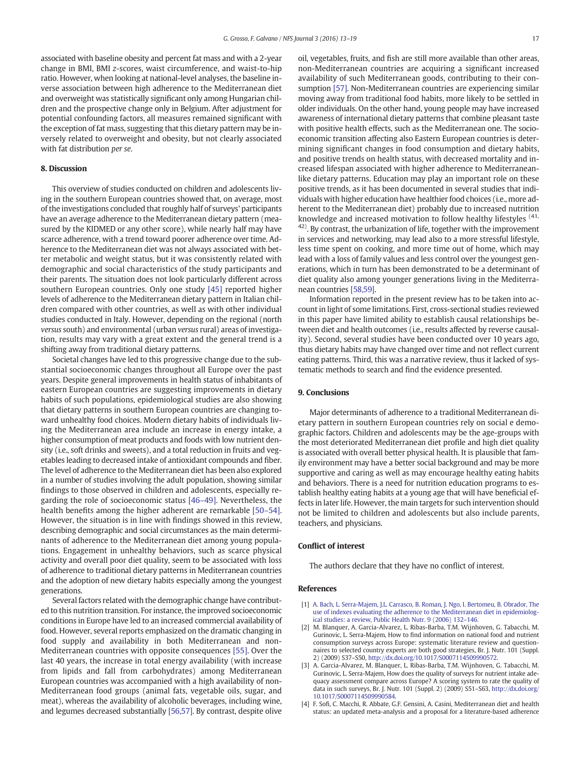<span id="page-4-0"></span>associated with baseline obesity and percent fat mass and with a 2-year change in BMI, BMI z-scores, waist circumference, and waist-to-hip ratio. However, when looking at national-level analyses, the baseline inverse association between high adherence to the Mediterranean diet and overweight was statistically significant only among Hungarian children and the prospective change only in Belgium. After adjustment for potential confounding factors, all measures remained significant with the exception of fat mass, suggesting that this dietary pattern may be inversely related to overweight and obesity, but not clearly associated with fat distribution per se.

#### 8. Discussion

This overview of studies conducted on children and adolescents living in the southern European countries showed that, on average, most of the investigations concluded that roughly half of surveys' participants have an average adherence to the Mediterranean dietary pattern (measured by the KIDMED or any other score), while nearly half may have scarce adherence, with a trend toward poorer adherence over time. Adherence to the Mediterranean diet was not always associated with better metabolic and weight status, but it was consistently related with demographic and social characteristics of the study participants and their parents. The situation does not look particularly different across southern European countries. Only one study [\[45\]](#page-5-0) reported higher levels of adherence to the Mediterranean dietary pattern in Italian children compared with other countries, as well as with other individual studies conducted in Italy. However, depending on the regional (north versus south) and environmental (urban versus rural) areas of investigation, results may vary with a great extent and the general trend is a shifting away from traditional dietary patterns.

Societal changes have led to this progressive change due to the substantial socioeconomic changes throughout all Europe over the past years. Despite general improvements in health status of inhabitants of eastern European countries are suggesting improvements in dietary habits of such populations, epidemiological studies are also showing that dietary patterns in southern European countries are changing toward unhealthy food choices. Modern dietary habits of individuals living the Mediterranean area include an increase in energy intake, a higher consumption of meat products and foods with low nutrient density (i.e., soft drinks and sweets), and a total reduction in fruits and vegetables leading to decreased intake of antioxidant compounds and fiber. The level of adherence to the Mediterranean diet has been also explored in a number of studies involving the adult population, showing similar findings to those observed in children and adolescents, especially regarding the role of socioeconomic status [46–[49\].](#page-5-0) Nevertheless, the health benefits among the higher adherent are remarkable [50–[54\].](#page-6-0) However, the situation is in line with findings showed in this review, describing demographic and social circumstances as the main determinants of adherence to the Mediterranean diet among young populations. Engagement in unhealthy behaviors, such as scarce physical activity and overall poor diet quality, seem to be associated with loss of adherence to traditional dietary patterns in Mediterranean countries and the adoption of new dietary habits especially among the youngest generations.

Several factors related with the demographic change have contributed to this nutrition transition. For instance, the improved socioeconomic conditions in Europe have led to an increased commercial availability of food. However, several reports emphasized on the dramatic changing in food supply and availability in both Mediterranean and non-Mediterranean countries with opposite consequences [\[55\].](#page-6-0) Over the last 40 years, the increase in total energy availability (with increase from lipids and fall from carbohydrates) among Mediterranean European countries was accompanied with a high availability of non-Mediterranean food groups (animal fats, vegetable oils, sugar, and meat), whereas the availability of alcoholic beverages, including wine, and legumes decreased substantially [\[56,57\]](#page-6-0). By contrast, despite olive oil, vegetables, fruits, and fish are still more available than other areas, non-Mediterranean countries are acquiring a significant increased availability of such Mediterranean goods, contributing to their consumption [\[57\].](#page-6-0) Non-Mediterranean countries are experiencing similar moving away from traditional food habits, more likely to be settled in older individuals. On the other hand, young people may have increased awareness of international dietary patterns that combine pleasant taste with positive health effects, such as the Mediterranean one. The socioeconomic transition affecting also Eastern European countries is determining significant changes in food consumption and dietary habits, and positive trends on health status, with decreased mortality and increased lifespan associated with higher adherence to Mediterraneanlike dietary patterns. Education may play an important role on these positive trends, as it has been documented in several studies that individuals with higher education have healthier food choices (i.e., more adherent to the Mediterranean diet) probably due to increased nutrition knowledge and increased motivation to follow healthy lifestyles <sup>(41,</sup>  $42$ ). By contrast, the urbanization of life, together with the improvement in services and networking, may lead also to a more stressful lifestyle, less time spent on cooking, and more time out of home, which may lead with a loss of family values and less control over the youngest generations, which in turn has been demonstrated to be a determinant of diet quality also among younger generations living in the Mediterranean countries [\[58,59\]](#page-6-0).

Information reported in the present review has to be taken into account in light of some limitations. First, cross-sectional studies reviewed in this paper have limited ability to establish causal relationships between diet and health outcomes (i.e., results affected by reverse causality). Second, several studies have been conducted over 10 years ago, thus dietary habits may have changed over time and not reflect current eating patterns. Third, this was a narrative review, thus it lacked of systematic methods to search and find the evidence presented.

#### 9. Conclusions

Major determinants of adherence to a traditional Mediterranean dietary pattern in southern European countries rely on social e demographic factors. Children and adolescents may be the age-groups with the most deteriorated Mediterranean diet profile and high diet quality is associated with overall better physical health. It is plausible that family environment may have a better social background and may be more supportive and caring as well as may encourage healthy eating habits and behaviors. There is a need for nutrition education programs to establish healthy eating habits at a young age that will have beneficial effects in later life. However, the main targets for such intervention should not be limited to children and adolescents but also include parents, teachers, and physicians.

#### Conflict of interest

The authors declare that they have no conflict of interest.

#### References

- [1] [A. Bach, L. Serra-Majem, J.L. Carrasco, B. Roman, J. Ngo, I. Bertomeu, B. Obrador, The](http://refhub.elsevier.com/S2352-3646(15)30055-9/rf0005) [use of indexes evaluating the adherence to the Mediterranean diet in epidemiolog](http://refhub.elsevier.com/S2352-3646(15)30055-9/rf0005)[ical studies: a review, Public Health Nutr. 9 \(2006\) 132](http://refhub.elsevier.com/S2352-3646(15)30055-9/rf0005)–146.
- [2] M. Blanquer, A. Garcia-Alvarez, L. Ribas-Barba, T.M. Wijnhoven, G. Tabacchi, M. Gurinovic, L. Serra-Majem, How to find information on national food and nutrient consumption surveys across Europe: systematic literature review and questionnaires to selected country experts are both good strategies, Br. J. Nutr. 101 (Suppl. 2) (2009) S37–S50, http://dx.doi.org[/10.1017/S0007114509990572](http://dx.doi.org/10.1017/S0007114509990572).
- [3] A. Garcia-Alvarez, M. Blanquer, L. Ribas-Barba, T.M. Wijnhoven, G. Tabacchi, M. Gurinovic, L. Serra-Majem, How does the quality of surveys for nutrient intake adequacy assessment compare across Europe? A scoring system to rate the quality of data in such surveys, Br. J. Nutr. 101 (Suppl. 2) (2009) S51–S63, http://dx.doi.org/ [10.1017/S0007114509990584](http://dx.doi.org/10.1017/S0007114509990584).
- [4] F. Sofi, C. Macchi, R. Abbate, G.F. Gensini, A. Casini, Mediterranean diet and health status: an updated meta-analysis and a proposal for a literature-based adherence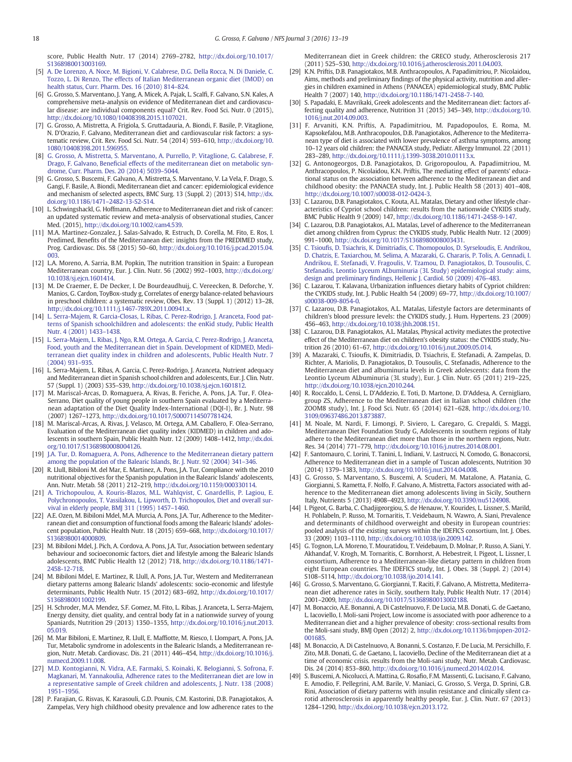<span id="page-5-0"></span>score, Public Health Nutr. 17 (2014) 2769–2782, http://dx.doi.org/[10.1017/](http://dx.doi.org/10.1017/S1368980013003169) [S1368980013003169](http://dx.doi.org/10.1017/S1368980013003169).

- [5] [A. De Lorenzo, A. Noce, M. Bigioni, V. Calabrese, D.G. Della Rocca, N. Di Daniele, C.](http://refhub.elsevier.com/S2352-3646(15)30055-9/rf0025) [Tozzo, L. Di Renzo, The effects of Italian Mediterranean organic diet \(IMOD\) on](http://refhub.elsevier.com/S2352-3646(15)30055-9/rf0025) [health status, Curr. Pharm. Des. 16 \(2010\) 814](http://refhub.elsevier.com/S2352-3646(15)30055-9/rf0025)–824.
- [6] G. Grosso, S. Marventano, J. Yang, A. Micek, A. Pajak, L. Scalfi, F. Galvano, S.N. Kales, A comprehensive meta-analysis on evidence of Mediterranean diet and cardiovascular disease: are individual components equal? Crit. Rev. Food Sci. Nutr. 0 (2015), http://dx.doi.org[/10.1080/10408398.2015.1107021](http://dx.doi.org/10.1080/10408398.2015.1107021).
- [7] G. Grosso, A. Mistretta, A. Frigiola, S. Gruttadauria, A. Biondi, F. Basile, P. Vitaglione, N. D'Orazio, F. Galvano, Mediterranean diet and cardiovascular risk factors: a systematic review, Crit. Rev. Food Sci. Nutr. 54 (2014) 593–610, http://dx.doi.org[/10.](http://dx.doi.org/10.1080/10408398.2011.596955) [1080/10408398.2011.596955](http://dx.doi.org/10.1080/10408398.2011.596955).
- [8] [G. Grosso, A. Mistretta, S. Marventano, A. Purrello, P. Vitaglione, G. Calabrese, F.](http://refhub.elsevier.com/S2352-3646(15)30055-9/rf0040) Drago, F. Galvano, Benefi[cial effects of the mediterranean diet on metabolic syn](http://refhub.elsevier.com/S2352-3646(15)30055-9/rf0040)[drome, Curr. Pharm. Des. 20 \(2014\) 5039](http://refhub.elsevier.com/S2352-3646(15)30055-9/rf0040)–5044.
- [9] G. Grosso, S. Buscemi, F. Galvano, A. Mistretta, S. Marventano, V. La Vela, F. Drago, S. Gangi, F. Basile, A. Biondi, Mediterranean diet and cancer: epidemiological evidence and mechanism of selected aspects, BMC Surg. 13 (Suppl. 2) (2013) S14, http://dx. doi.org/10.1186/1471–[2482-13-S2-S14.](#page-0-0)
- [10] L. Schwingshackl, G. Hoffmann, Adherence to Mediterranean diet and risk of cancer: an updated systematic review and meta-analysis of observational studies, Cancer Med. (2015), http://dx.doi.org[/10.1002/cam4.539](http://dx.doi.org/10.1002/cam4.539).
- [11] M.A. Martinez-Gonzalez, J. Salas-Salvado, R. Estruch, D. Corella, M. Fito, E. Ros, I. Predimed, Benefits of the Mediterranean diet: insights from the PREDIMED study, Prog. Cardiovasc. Dis. 58 (2015) 50–60, http://dx.doi.org[/10.1016/j.pcad.2015.04.](http://dx.doi.org/10.1016/j.pcad.2015.04.003) [003](http://dx.doi.org/10.1016/j.pcad.2015.04.003).
- [12] L.A. Moreno, A. Sarria, B.M. Popkin, The nutrition transition in Spain: a European Mediterranean country, Eur. J. Clin. Nutr. 56 (2002) 992–1003, http://dx.doi.org/ [10.1038/sj.ejcn.1601414](http://dx.doi.org/10.1038/sj.ejcn.1601414).
- [13] M. De Craemer, E. De Decker, I. De Bourdeaudhuij, C. Vereecken, B. Deforche, Y. Manios, G. Cardon, ToyBox-study g, Correlates of energy balance-related behaviours in preschool children: a systematic review, Obes. Rev. 13 (Suppl. 1) (2012) 13–28, http://dx.doi.org[/10.1111/j.1467-789X.2011.00941.x.](http://dx.doi.org/10.1111/j.1467-789X.2011.00941.x)
- [14] [L. Serra-Majem, R. Garcia-Closas, L. Ribas, C. Perez-Rodrigo, J. Aranceta, Food pat](http://refhub.elsevier.com/S2352-3646(15)30055-9/rf0070)[terns of Spanish schoolchildren and adolescents: the enKid study, Public Health](http://refhub.elsevier.com/S2352-3646(15)30055-9/rf0070) [Nutr. 4 \(2001\) 1433](http://refhub.elsevier.com/S2352-3646(15)30055-9/rf0070)–1438.
- [15] [L. Serra-Majem, L. Ribas, J. Ngo, R.M. Ortega, A. Garcia, C. Perez-Rodrigo, J. Aranceta,](http://refhub.elsevier.com/S2352-3646(15)30055-9/rf0075) [Food, youth and the Mediterranean diet in Spain. Development of KIDMED, Medi](http://refhub.elsevier.com/S2352-3646(15)30055-9/rf0075)[terranean diet quality index in children and adolescents, Public Health Nutr. 7](http://refhub.elsevier.com/S2352-3646(15)30055-9/rf0075) [\(2004\) 931](http://refhub.elsevier.com/S2352-3646(15)30055-9/rf0075)–935.
- [16] L. Serra-Majem, L. Ribas, A. Garcia, C. Perez-Rodrigo, J. Aranceta, Nutrient adequacy and Mediterranean diet in Spanish school children and adolescents, Eur. J. Clin. Nutr. 57 (Suppl. 1) (2003) S35–S39, http://dx.doi.org[/10.1038/sj.ejcn.1601812](http://dx.doi.org/10.1038/sj.ejcn.1601812).
- [17] M. Mariscal-Arcas, D. Romaguera, A. Rivas, B. Feriche, A. Pons, J.A. Tur, F. Olea-Serrano, Diet quality of young people in southern Spain evaluated by a Mediterranean adaptation of the Diet Quality Index-International (DQI-I), Br. J. Nutr. 98 (2007) 1267–1273, http://dx.doi.org[/10.1017/S0007114507781424](http://dx.doi.org/10.1017/S0007114507781424).
- [18] M. Mariscal-Arcas, A. Rivas, J. Velasco, M. Ortega, A.M. Caballero, F. Olea-Serrano, Evaluation of the Mediterranean diet quality index (KIDMED) in children and adolescents in southern Spain, Public Health Nutr. 12 (2009) 1408–1412, http://dx.doi. org[/10.1017/S1368980008004126](http://dx.doi.org/10.1017/S1368980008004126).
- [19] [J.A. Tur, D. Romaguera, A. Pons, Adherence to the Mediterranean dietary pattern](http://refhub.elsevier.com/S2352-3646(15)30055-9/rf0095) [among the population of the Balearic Islands, Br. J. Nutr. 92 \(2004\) 341](http://refhub.elsevier.com/S2352-3646(15)30055-9/rf0095)–346.
- [20] R. Llull, Bibiloni M. del Mar, E. Martinez, A. Pons, J.A. Tur, Compliance with the 2010 nutritional objectives for the Spanish population in the Balearic Islands' adolescents, Ann. Nutr. Metab. 58 (2011) 212–219, http://dx.doi.org[/10.1159/000330114.](http://dx.doi.org/10.1159/000330114)
- [21] [A. Trichopoulou, A. Kouris-Blazos, M.L. Wahlqvist, C. Gnardellis, P. Lagiou, E.](http://refhub.elsevier.com/S2352-3646(15)30055-9/rf0105) [Polychronopoulos, T. Vassilakou, L. Lipworth, D. Trichopoulos, Diet and overall sur](http://refhub.elsevier.com/S2352-3646(15)30055-9/rf0105)[vival in elderly people, BMJ 311 \(1995\) 1457](http://refhub.elsevier.com/S2352-3646(15)30055-9/rf0105)–1460.
- [22] A.E. Ozen, M. Bibiloni Mdel, M.A. Murcia, A. Pons, J.A. Tur, Adherence to the Mediterranean diet and consumption of functional foods among the Balearic Islands' adolescent population, Public Health Nutr. 18 (2015) 659–668, http://dx.doi.org/[10.1017/](http://dx.doi.org/10.1017/S1368980014000809) [S1368980014000809](http://dx.doi.org/10.1017/S1368980014000809).
- [23] M. Bibiloni Mdel, J. Pich, A. Cordova, A. Pons, J.A. Tur, Association between sedentary behaviour and socioeconomic factors, diet and lifestyle among the Balearic Islands adolescents, BMC Public Health 12 (2012) 718, http://dx.doi.org/[10.1186/1471-](http://dx.doi.org/10.1186/1471-2458-12-718) [2458-12-718](http://dx.doi.org/10.1186/1471-2458-12-718).
- [24] M. Bibiloni Mdel, E. Martinez, R. Llull, A. Pons, J.A. Tur, Western and Mediterranean dietary patterns among Balearic Islands' adolescents: socio-economic and lifestyle determinants, Public Health Nutr. 15 (2012) 683–692, http://dx.doi.org[/10.1017/](http://dx.doi.org/10.1017/S1368980011002199) [S1368980011002199](http://dx.doi.org/10.1017/S1368980011002199).
- [25] H. Schroder, M.A. Mendez, S.F. Gomez, M. Fito, L. Ribas, J. Aranceta, L. Serra-Majem, Energy density, diet quality, and central body fat in a nationwide survey of young Spaniards, Nutrition 29 (2013) 1350–1355, http://dx.doi.org[/10.1016/j.nut.2013.](http://dx.doi.org/10.1016/j.nut.2013.05.019) [05.019](http://dx.doi.org/10.1016/j.nut.2013.05.019).
- [26] M. Mar Bibiloni, E. Martinez, R. Llull, E. Maffiotte, M. Riesco, I. Llompart, A. Pons, J.A. Tur, Metabolic syndrome in adolescents in the Balearic Islands, a Mediterranean region, Nutr. Metab. Cardiovasc. Dis. 21 (2011) 446–454, http://dx.doi.org[/10.1016/j.](http://dx.doi.org/10.1016/j.numecd.2009.11.008) [numecd.2009.11.008](http://dx.doi.org/10.1016/j.numecd.2009.11.008).
- [27] [M.D. Kontogianni, N. Vidra, A.E. Farmaki, S. Koinaki, K. Belogianni, S. Sofrona, F.](http://refhub.elsevier.com/S2352-3646(15)30055-9/rf0135) [Magkanari, M. Yannakoulia, Adherence rates to the Mediterranean diet are low in](http://refhub.elsevier.com/S2352-3646(15)30055-9/rf0135) [a representative sample of Greek children and adolescents, J. Nutr. 138 \(2008\)](http://refhub.elsevier.com/S2352-3646(15)30055-9/rf0135) 1951–[1956.](http://refhub.elsevier.com/S2352-3646(15)30055-9/rf0135)
- [28] P. Farajian, G. Risvas, K. Karasouli, G.D. Pounis, C.M. Kastorini, D.B. Panagiotakos, A. Zampelas, Very high childhood obesity prevalence and low adherence rates to the

Mediterranean diet in Greek children: the GRECO study, Atherosclerosis 217 (2011) 525–530, http://dx.doi.org/[10.1016/j.atherosclerosis.2011.04.003.](http://dx.doi.org/10.1016/j.atherosclerosis.2011.04.003)

- [29] K.N. Priftis, D.B. Panagiotakos, M.B. Anthracopoulos, A. Papadimitriou, P. Nicolaidou, Aims, methods and preliminary findings of the physical activity, nutrition and allergies in children examined in Athens (PANACEA) epidemiological study, BMC Public Health 7 (2007) 140, http://dx.doi.org/[10.1186/1471-2458-7-140.](http://dx.doi.org/10.1186/1471-2458-7-140)
- [30] S. Papadaki, E. Mavrikaki, Greek adolescents and the Mediterranean diet: factors affecting quality and adherence, Nutrition 31 (2015) 345–349, http://dx.doi.org[/10.](http://dx.doi.org/10.1016/j.nut.2014.09.003) [1016/j.nut.2014.09.003.](http://dx.doi.org/10.1016/j.nut.2014.09.003)
- [31] F. Arvaniti, K.N. Priftis, A. Papadimitriou, M. Papadopoulos, E. Roma, M. Kapsokefalou, M.B. Anthracopoulos, D.B. Panagiotakos, Adherence to the Mediterranean type of diet is associated with lower prevalence of asthma symptoms, among 10–12 years old children: the PANACEA study, Pediatr. Allergy Immunol. 22 (2011) 283–289, http://dx.doi.org/[10.1111/j.1399-3038.2010.01113.x](http://dx.doi.org/10.1111/j.1399-3038.2010.01113.x).
- [32] G. Antonogeorgos, D.B. Panagiotakos, D. Grigoropoulou, A. Papadimitriou, M. Anthracopoulos, P. Nicolaidou, K.N. Priftis, The mediating effect of parents' educational status on the association between adherence to the Mediterranean diet and childhood obesity: the PANACEA study, Int. J. Public Health 58 (2013) 401–408, http://dx.doi.org/[10.1007/s00038-012-0424-3.](http://dx.doi.org/10.1007/s00038-012-0424-3)
- [33] C. Lazarou, D.B. Panagiotakos, C. Kouta, A.L. Matalas, Dietary and other lifestyle characteristics of Cypriot school children: results from the nationwide CYKIDS study, BMC Public Health 9 (2009) 147, http://dx.doi.org/[10.1186/1471-2458-9-147.](http://dx.doi.org/10.1186/1471-2458-9-147)
- [34] C. Lazarou, D.B. Panagiotakos, A.L. Matalas, Level of adherence to the Mediterranean diet among children from Cyprus: the CYKIDS study, Public Health Nutr. 12 (2009) 991–1000, http://dx.doi.org/[10.1017/S1368980008003431.](http://dx.doi.org/10.1017/S1368980008003431)
- [35] C. Tsioufi[s, D. Tsiachris, K. Dimitriadis, C. Thomopoulos, D. Syrseloudis, E. Andrikou,](http://refhub.elsevier.com/S2352-3646(15)30055-9/rf0175) [D. Chatzis, E. Taxiarchou, M. Selima, A. Mazaraki, G. Chararis, P. Tolis, A. Gennadi, I.](http://refhub.elsevier.com/S2352-3646(15)30055-9/rf0175) [Andrikou, E. Stefanadi, V. Fragoulis, V. Tzamou, D. Panagiotakos, D. Tousoulis, C.](http://refhub.elsevier.com/S2352-3646(15)30055-9/rf0175) [Stefanadis, Leontio Lyceum ALbuminuria \(3L Study\) epidemiological study: aims,](http://refhub.elsevier.com/S2352-3646(15)30055-9/rf0175) design and preliminary fi[ndings, Hellenic J. Cardiol. 50 \(2009\) 476](http://refhub.elsevier.com/S2352-3646(15)30055-9/rf0175)–483.
- [36] C. Lazarou, T. Kalavana, Urbanization influences dietary habits of Cypriot children: the CYKIDS study, Int. J. Public Health 54 (2009) 69–77, http://dx.doi.org/[10.1007/](http://dx.doi.org/10.1007/s00038-009-8054-0) [s00038-009-8054-0.](http://dx.doi.org/10.1007/s00038-009-8054-0)
- [37] C. Lazarou, D.B. Panagiotakos, A.L. Matalas, Lifestyle factors are determinants of children's blood pressure levels: the CYKIDS study, J. Hum. Hypertens. 23 (2009) 456–463, http://dx.doi.org/[10.1038/jhh.2008.151](http://dx.doi.org/10.1038/jhh.2008.151).
- [38] C. Lazarou, D.B. Panagiotakos, A.L. Matalas, Physical activity mediates the protective effect of the Mediterranean diet on children's obesity status: the CYKIDS study, Nutrition 26 (2010) 61–67, http://dx.doi.org[/10.1016/j.nut.2009.05.014](http://dx.doi.org/10.1016/j.nut.2009.05.014).
- [39] A. Mazaraki, C. Tsioufis, K. Dimitriadis, D. Tsiachris, E. Stefanadi, A. Zampelas, D. Richter, A. Mariolis, D. Panagiotakos, D. Tousoulis, C. Stefanadis, Adherence to the Mediterranean diet and albuminuria levels in Greek adolescents: data from the Leontio Lyceum ALbuminuria (3L study), Eur. J. Clin. Nutr. 65 (2011) 219–225, http://dx.doi.org[/10.1038/ejcn.2010.244.](http://dx.doi.org/10.1038/ejcn.2010.244)
- [40] R. Roccaldo, L. Censi, L. D'Addezio, E. Toti, D. Martone, D. D'Addesa, A. Cernigliaro, group ZS, Adherence to the Mediterranean diet in Italian school children (the ZOOM8 study), Int. J. Food Sci. Nutr. 65 (2014) 621–628, http://dx.doi.org/[10.](http://dx.doi.org/10.3109/09637486.2013.873887) [3109/09637486.2013.873887](http://dx.doi.org/10.3109/09637486.2013.873887).
- [41] M. Noale, M. Nardi, F. Limongi, P. Siviero, L. Caregaro, G. Crepaldi, S. Maggi, Mediterranean Diet Foundation Study G, Adolescents in southern regions of Italy adhere to the Mediterranean diet more than those in the northern regions, Nutr. Res. 34 (2014) 771–779, http://dx.doi.org[/10.1016/j.nutres.2014.08.001.](http://dx.doi.org/10.1016/j.nutres.2014.08.001)
- [42] F. Santomauro, C. Lorini, T. Tanini, L. Indiani, V. Lastrucci, N. Comodo, G. Bonaccorsi, Adherence to Mediterranean diet in a sample of Tuscan adolescents, Nutrition 30 (2014) 1379–1383, http://dx.doi.org/[10.1016/j.nut.2014.04.008.](http://dx.doi.org/10.1016/j.nut.2014.04.008)
- [43] G. Grosso, S. Marventano, S. Buscemi, A. Scuderi, M. Matalone, A. Platania, G. Giorgianni, S. Rametta, F. Nolfo, F. Galvano, A. Mistretta, Factors associated with adherence to the Mediterranean diet among adolescents living in Sicily, Southern Italy, Nutrients 5 (2013) 4908–4923, http://dx.doi.org[/10.3390/nu5124908](http://dx.doi.org/10.3390/nu5124908).
- [44] I. Pigeot, G. Barba, C. Chadjigeorgiou, S. de Henauw, Y. Kourides, L. Lissner, S. Marild, H. Pohlabeln, P. Russo, M. Tornaritis, T. Veidebaum, N. Wawro, A. Siani, Prevalence and determinants of childhood overweight and obesity in European countries: pooled analysis of the existing surveys within the IDEFICS consortium, Int. J. Obes. 33 (2009) 1103–1110, http://dx.doi.org/[10.1038/ijo.2009.142](http://dx.doi.org/10.1038/ijo.2009.142).
- [45] G. Tognon, L.A. Moreno, T. Mouratidou, T. Veidebaum, D. Molnar, P. Russo, A. Siani, Y. Akhandaf, V. Krogh, M. Tornaritis, C. Bornhorst, A. Hebestreit, I. Pigeot, L. Lissner, I. consortium, Adherence to a Mediterranean-like dietary pattern in children from eight European countries. The IDEFICS study, Int. J. Obes. 38 (Suppl. 2) (2014) S108–S114, http://dx.doi.org/[10.1038/ijo.2014.141](http://dx.doi.org/10.1038/ijo.2014.141).
- [46] G. Grosso, S. Marventano, G. Giorgianni, T. Raciti, F. Galvano, A. Mistretta, Mediterranean diet adherence rates in Sicily, southern Italy, Public Health Nutr. 17 (2014) 2001–2009, http://dx.doi.org[/10.1017/S1368980013002188](http://dx.doi.org/10.1017/S1368980013002188).
- [47] M. Bonaccio, A.E. Bonanni, A. Di Castelnuovo, F. De Lucia, M.B. Donati, G. de Gaetano, L. Iacoviello, I. Moli-sani Project, Low income is associated with poor adherence to a Mediterranean diet and a higher prevalence of obesity: cross-sectional results from the Moli-sani study, BMJ Open (2012) 2, http://dx.doi.org[/10.1136/bmjopen-2012-](http://dx.doi.org/10.1136/bmjopen-2012-001685) [001685](http://dx.doi.org/10.1136/bmjopen-2012-001685).
- [48] M. Bonaccio, A. Di Castelnuovo, A. Bonanni, S. Costanzo, F. De Lucia, M. Persichillo, F. Zito, M.B. Donati, G. de Gaetano, L. Iacoviello, Decline of the Mediterranean diet at a time of economic crisis. results from the Moli-sani study, Nutr. Metab. Cardiovasc. Dis. 24 (2014) 853–860, http://dx.doi.org[/10.1016/j.numecd.2014.02.014](http://dx.doi.org/10.1016/j.numecd.2014.02.014).
- [49] S. Buscemi, A. Nicolucci, A. Mattina, G. Rosafio, F.M. Massenti, G. Lucisano, F. Galvano, E. Amodio, F. Pellegrini, A.M. Barile, V. Maniaci, G. Grosso, S. Verga, D. Sprini, G.B. Rini, Association of dietary patterns with insulin resistance and clinically silent carotid atherosclerosis in apparently healthy people, Eur. J. Clin. Nutr. 67 (2013) 1284–1290, http://dx.doi.org[/10.1038/ejcn.2013.172](http://dx.doi.org/10.1038/ejcn.2013.172).